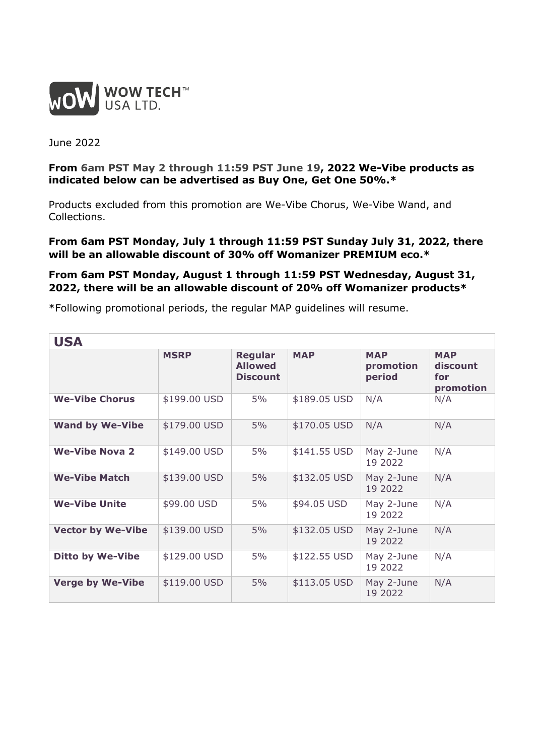

June 2022

## **From 6am PST May 2 through 11:59 PST June 19, 2022 We-Vibe products as indicated below can be advertised as Buy One, Get One 50%.\***

Products excluded from this promotion are We-Vibe Chorus, We-Vibe Wand, and Collections.

## **From 6am PST Monday, July 1 through 11:59 PST Sunday July 31, 2022, there will be an allowable discount of 30% off Womanizer PREMIUM eco.\***

## **From 6am PST Monday, August 1 through 11:59 PST Wednesday, August 31, 2022, there will be an allowable discount of 20% off Womanizer products\***

\*Following promotional periods, the regular MAP guidelines will resume.

| <b>USA</b>               |              |                                                     |              |                                   |                                            |  |  |
|--------------------------|--------------|-----------------------------------------------------|--------------|-----------------------------------|--------------------------------------------|--|--|
|                          | <b>MSRP</b>  | <b>Regular</b><br><b>Allowed</b><br><b>Discount</b> | <b>MAP</b>   | <b>MAP</b><br>promotion<br>period | <b>MAP</b><br>discount<br>for<br>promotion |  |  |
| <b>We-Vibe Chorus</b>    | \$199.00 USD | 5%                                                  | \$189.05 USD | N/A                               | N/A                                        |  |  |
| <b>Wand by We-Vibe</b>   | \$179.00 USD | 5%                                                  | \$170.05 USD | N/A                               | N/A                                        |  |  |
| <b>We-Vibe Nova 2</b>    | \$149.00 USD | 5%                                                  | \$141.55 USD | May 2-June<br>19 2022             | N/A                                        |  |  |
| <b>We-Vibe Match</b>     | \$139.00 USD | 5%                                                  | \$132.05 USD | May 2-June<br>19 2022             | N/A                                        |  |  |
| <b>We-Vibe Unite</b>     | \$99.00 USD  | 5%                                                  | \$94.05 USD  | May 2-June<br>19 2022             | N/A                                        |  |  |
| <b>Vector by We-Vibe</b> | \$139.00 USD | 5%                                                  | \$132.05 USD | May 2-June<br>19 2022             | N/A                                        |  |  |
| <b>Ditto by We-Vibe</b>  | \$129.00 USD | 5%                                                  | \$122.55 USD | May 2-June<br>19 2022             | N/A                                        |  |  |
| <b>Verge by We-Vibe</b>  | \$119.00 USD | 5%                                                  | \$113.05 USD | May 2-June<br>19 2022             | N/A                                        |  |  |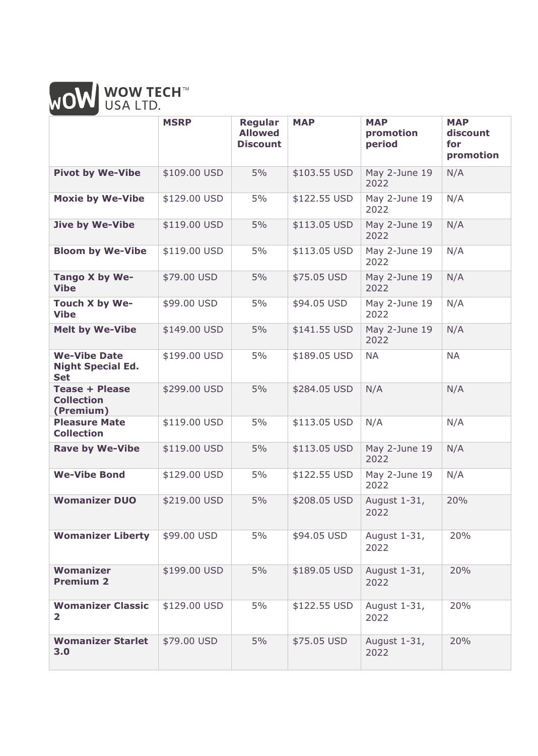

|                                                               | <b>MSRP</b>  | <b>Regular</b><br><b>Allowed</b><br><b>Discount</b> | <b>MAP</b>   | <b>MAP</b><br>promotion<br>period | <b>MAP</b><br>discount<br>for<br>promotion |
|---------------------------------------------------------------|--------------|-----------------------------------------------------|--------------|-----------------------------------|--------------------------------------------|
| <b>Pivot by We-Vibe</b>                                       | \$109.00 USD | 5%                                                  | \$103.55 USD | May 2-June 19<br>2022             | N/A                                        |
| <b>Moxie by We-Vibe</b>                                       | \$129.00 USD | 5%                                                  | \$122.55 USD | May 2-June 19<br>2022             | N/A                                        |
| <b>Jive by We-Vibe</b>                                        | \$119.00 USD | 5%                                                  | \$113.05 USD | May 2-June 19<br>2022             | N/A                                        |
| <b>Bloom by We-Vibe</b>                                       | \$119.00 USD | 5%                                                  | \$113.05 USD | May 2-June 19<br>2022             | N/A                                        |
| Tango X by We-<br><b>Vibe</b>                                 | \$79.00 USD  | 5%                                                  | \$75.05 USD  | May 2-June 19<br>2022             | N/A                                        |
| Touch X by We-<br><b>Vibe</b>                                 | \$99.00 USD  | 5%                                                  | \$94.05 USD  | May 2-June 19<br>2022             | N/A                                        |
| <b>Melt by We-Vibe</b>                                        | \$149.00 USD | 5%                                                  | \$141.55 USD | May 2-June 19<br>2022             | N/A                                        |
| <b>We-Vibe Date</b><br><b>Night Special Ed.</b><br><b>Set</b> | \$199.00 USD | 5%                                                  | \$189.05 USD | <b>NA</b>                         | <b>NA</b>                                  |
| <b>Tease + Please</b><br><b>Collection</b><br>(Premium)       | \$299.00 USD | 5%                                                  | \$284.05 USD | N/A                               | N/A                                        |
| <b>Pleasure Mate</b><br><b>Collection</b>                     | \$119.00 USD | 5%                                                  | \$113.05 USD | N/A                               | N/A                                        |
| <b>Rave by We-Vibe</b>                                        | \$119.00 USD | 5%                                                  | \$113.05 USD | May 2-June 19<br>2022             | N/A                                        |
| <b>We-Vibe Bond</b>                                           | \$129.00 USD | 5%                                                  | \$122.55 USD | May 2-June 19<br>2022             | N/A                                        |
| <b>Womanizer DUO</b>                                          | \$219.00 USD | 5%                                                  | \$208.05 USD | August 1-31,<br>2022              | 20%                                        |
| <b>Womanizer Liberty</b>                                      | \$99.00 USD  | 5%                                                  | \$94.05 USD  | August 1-31,<br>2022              | 20%                                        |
| <b>Womanizer</b><br><b>Premium 2</b>                          | \$199.00 USD | 5%                                                  | \$189.05 USD | August 1-31,<br>2022              | 20%                                        |
| <b>Womanizer Classic</b><br>$\overline{2}$                    | \$129.00 USD | 5%                                                  | \$122.55 USD | August 1-31,<br>2022              | 20%                                        |
| <b>Womanizer Starlet</b><br>3.0                               | \$79.00 USD  | 5%                                                  | \$75.05 USD  | August 1-31,<br>2022              | 20%                                        |